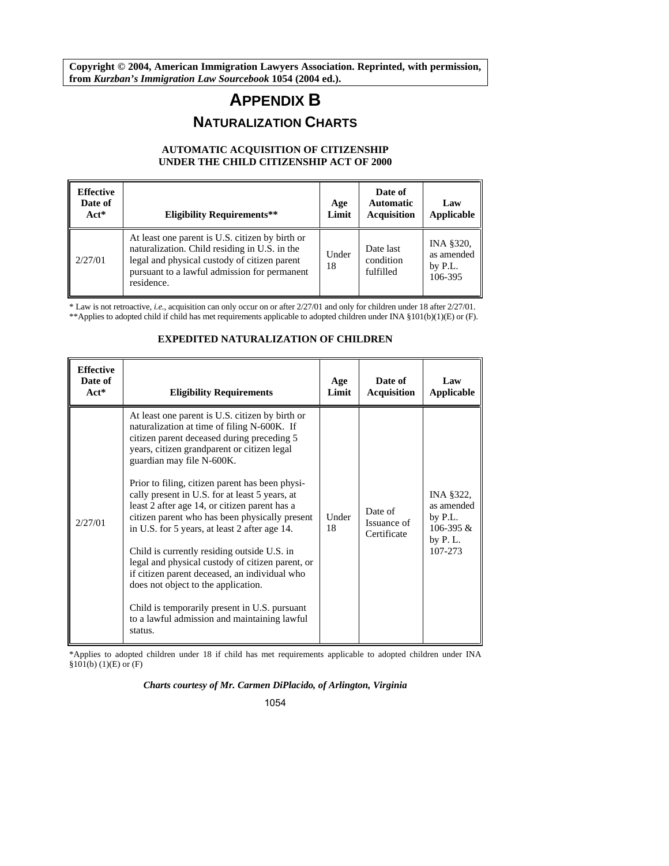**Copyright © 2004, American Immigration Lawyers Association. Reprinted, with permission, from** *Kurzban's Immigration Law Sourcebook* **1054 (2004 ed.).** 

# **APPENDIX B NATURALIZATION CHARTS**

# **AUTOMATIC ACQUISITION OF CITIZENSHIP UNDER THE CHILD CITIZENSHIP ACT OF 2000**

| <b>Effective</b><br>Date of<br>$Act^*$ | <b>Eligibility Requirements**</b>                                                                                                                                                                              | Age<br>Limit | Date of<br><b>Automatic</b><br><b>Acquisition</b> | Law<br>Applicable                               |
|----------------------------------------|----------------------------------------------------------------------------------------------------------------------------------------------------------------------------------------------------------------|--------------|---------------------------------------------------|-------------------------------------------------|
| 2/27/01                                | At least one parent is U.S. citizen by birth or<br>naturalization. Child residing in U.S. in the<br>legal and physical custody of citizen parent<br>pursuant to a lawful admission for permanent<br>residence. | Under<br>18  | Date last<br>condition<br>fulfilled               | INA §320,<br>as amended<br>by $P.L.$<br>106-395 |

\* Law is not retroactive, *i.e.*, acquisition can only occur on or after 2/27/01 and only for children under 18 after 2/27/01. \*\*Applies to adopted child if child has met requirements applicable to adopted children under INA §101(b)(1)(E) or (F).

#### **Effective Date of Act\* Eligibility Requirements Age Limit Date of Acquisition Law Applicable**  2/27/01 At least one parent is U.S. citizen by birth or naturalization at time of filing N-600K. If citizen parent deceased during preceding 5 years, citizen grandparent or citizen legal guardian may file N-600K. Prior to filing, citizen parent has been physically present in U.S. for at least 5 years, at least 2 after age 14, or citizen parent has a citizen parent who has been physically present in U.S. for 5 years, at least 2 after age 14. Child is currently residing outside U.S. in legal and physical custody of citizen parent, or if citizen parent deceased, an individual who does not object to the application. Child is temporarily present in U.S. pursuant to a lawful admission and maintaining lawful status. Under 18 Date of Issuance of **Certificate** INA §322, as amended by P.L. 106-395 & by P. L. 107-273

# **EXPEDITED NATURALIZATION OF CHILDREN**

\*Applies to adopted children under 18 if child has met requirements applicable to adopted children under INA  $§101(b) (1)(E)$  or  $(F)$ 

### *Charts courtesy of Mr. Carmen DiPlacido, of Arlington, Virginia*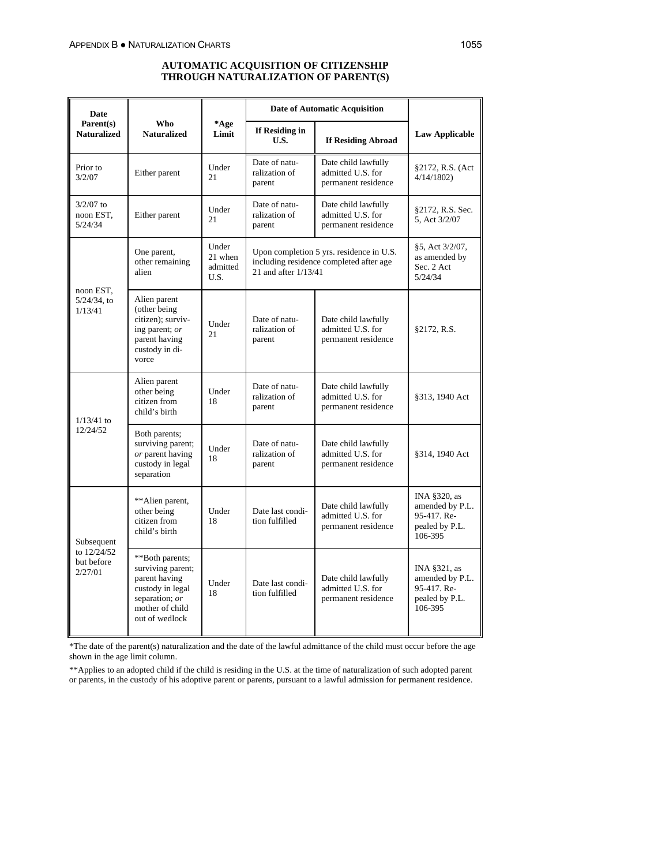# **AUTOMATIC ACQUISITION OF CITIZENSHIP THROUGH NATURALIZATION OF PARENT(S)**

| Date                                   |                                                                                                                                  |                                      |                                          | <b>Date of Automatic Acquisition</b>                                                |                                                                             |
|----------------------------------------|----------------------------------------------------------------------------------------------------------------------------------|--------------------------------------|------------------------------------------|-------------------------------------------------------------------------------------|-----------------------------------------------------------------------------|
| Parent(s)<br><b>Naturalized</b>        | Who<br><b>Naturalized</b>                                                                                                        | *Age<br>Limit                        | If Residing in<br>U.S.                   | <b>If Residing Abroad</b>                                                           | <b>Law Applicable</b>                                                       |
| Prior to<br>3/2/07                     | Either parent                                                                                                                    | Under<br>21                          | Date of natu-<br>ralization of<br>parent | Date child lawfully<br>admitted U.S. for<br>permanent residence                     | §2172, R.S. (Act<br>4/14/1802                                               |
| $3/2/07$ to<br>noon EST,<br>5/24/34    | Either parent                                                                                                                    | Under<br>21                          | Date of natu-<br>ralization of<br>parent | Date child lawfully<br>admitted U.S. for<br>permanent residence                     | §2172, R.S. Sec.<br>5, Act 3/2/07                                           |
|                                        | One parent,<br>other remaining<br>alien                                                                                          | Under<br>21 when<br>admitted<br>U.S. | 21 and after 1/13/41                     | Upon completion 5 yrs. residence in U.S.<br>including residence completed after age | §5, Act 3/2/07,<br>as amended by<br>Sec. 2 Act<br>5/24/34                   |
| noon EST,<br>$5/24/34$ , to<br>1/13/41 | Alien parent<br>(other being)<br>citizen); surviv-<br>ing parent; or<br>parent having<br>custody in di-<br>vorce                 | Under<br>21                          | Date of natu-<br>ralization of<br>parent | Date child lawfully<br>admitted U.S. for<br>permanent residence                     | §2172, R.S.                                                                 |
| $1/13/41$ to                           | Alien parent<br>other being<br>citizen from<br>child's birth                                                                     | Under<br>18                          | Date of natu-<br>ralization of<br>parent | Date child lawfully<br>admitted U.S. for<br>permanent residence                     | §313, 1940 Act                                                              |
| 12/24/52                               | Both parents;<br>surviving parent;<br>or parent having<br>custody in legal<br>separation                                         | Under<br>18                          | Date of natu-<br>ralization of<br>parent | Date child lawfully<br>admitted U.S. for<br>permanent residence                     | §314, 1940 Act                                                              |
| Subsequent                             | **Alien parent,<br>other being<br>citizen from<br>child's birth                                                                  | Under<br>18                          | Date last condi-<br>tion fulfilled       | Date child lawfully<br>admitted U.S. for<br>permanent residence                     | INA §320, as<br>amended by P.L.<br>95-417. Re-<br>pealed by P.L.<br>106-395 |
| to 12/24/52<br>but before<br>2/27/01   | **Both parents;<br>surviving parent;<br>parent having<br>custody in legal<br>separation; or<br>mother of child<br>out of wedlock | Under<br>18                          | Date last condi-<br>tion fulfilled       | Date child lawfully<br>admitted U.S. for<br>permanent residence                     | INA §321, as<br>amended by P.L.<br>95-417. Re-<br>pealed by P.L.<br>106-395 |

\*The date of the parent(s) naturalization and the date of the lawful admittance of the child must occur before the age shown in the age limit column.

\*\*Applies to an adopted child if the child is residing in the U.S. at the time of naturalization of such adopted parent or parents, in the custody of his adoptive parent or parents, pursuant to a lawful admission for permanent residence.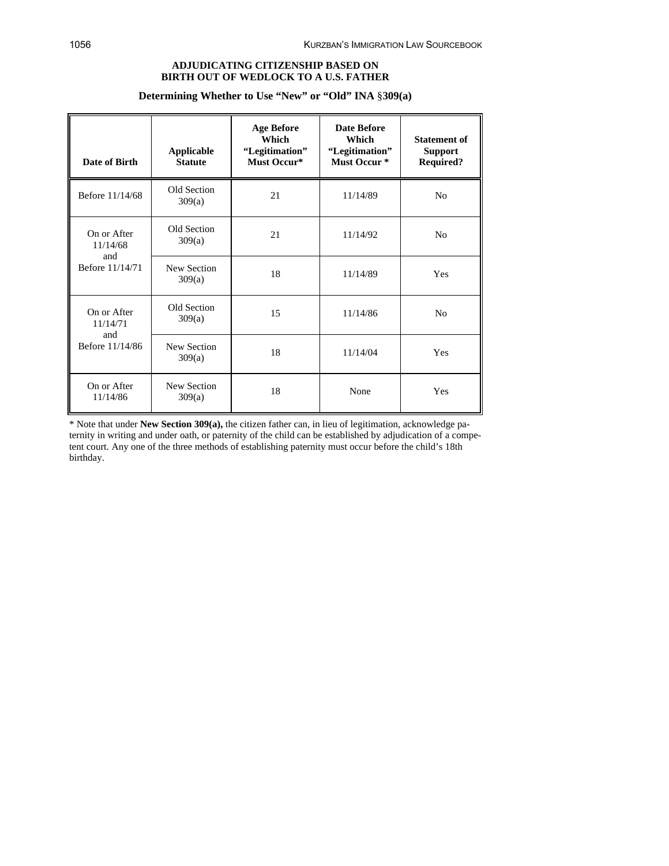# **ADJUDICATING CITIZENSHIP BASED ON BIRTH OUT OF WEDLOCK TO A U.S. FATHER**

## **Determining Whether to Use "New" or "Old" INA** §**309(a)**

| Date of Birth                  | <b>Applicable</b><br><b>Statute</b> | <b>Age Before</b><br>Which<br>"Legitimation"<br>Must Occur* | <b>Date Before</b><br>Which<br>"Legitimation"<br>Must Occur <sup>*</sup> | <b>Statement of</b><br><b>Support</b><br><b>Required?</b> |
|--------------------------------|-------------------------------------|-------------------------------------------------------------|--------------------------------------------------------------------------|-----------------------------------------------------------|
| Before 11/14/68                | Old Section<br>309(a)               | 21                                                          | 11/14/89                                                                 | N <sub>0</sub>                                            |
| On or After<br>11/14/68<br>and | Old Section<br>309(a)               | 21                                                          | 11/14/92                                                                 | No                                                        |
| Before 11/14/71                | New Section<br>309(a)               | 18                                                          | 11/14/89                                                                 | Yes                                                       |
| On or After<br>11/14/71        | Old Section<br>309(a)               | 15                                                          | 11/14/86                                                                 | N <sub>0</sub>                                            |
| and<br>Before 11/14/86         | New Section<br>309(a)               | 18                                                          | 11/14/04                                                                 | Yes                                                       |
| On or After<br>11/14/86        | New Section<br>309(a)               | 18                                                          | None                                                                     | Yes                                                       |

\* Note that under **New Section 309(a),** the citizen father can, in lieu of legitimation, acknowledge paternity in writing and under oath, or paternity of the child can be established by adjudication of a competent court. Any one of the three methods of establishing paternity must occur before the child's 18th birthday.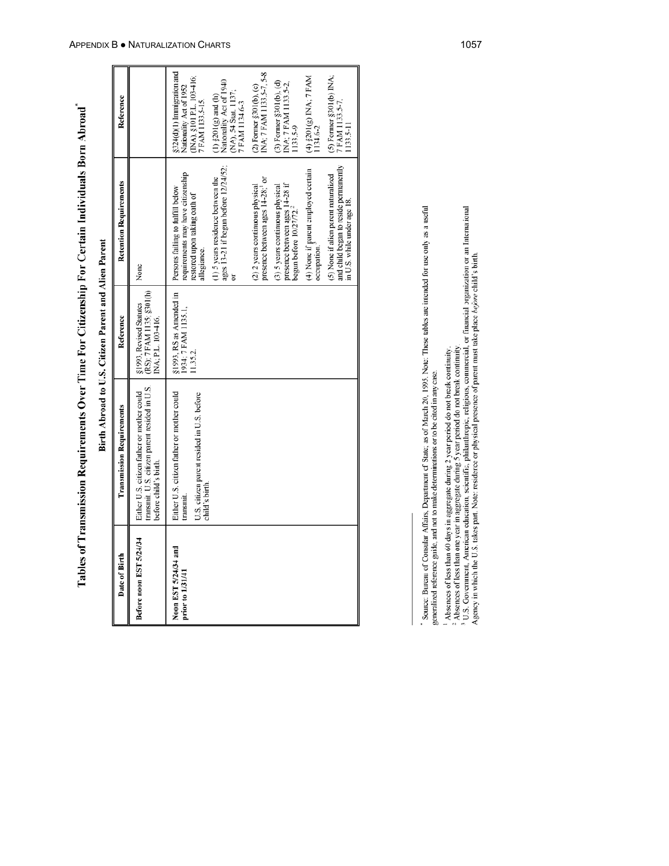Tables of Transmission Requirements Over Time For Citizenship For Certain Individuals Born Abroad"

|                                          |                                                                                                                        | Birth Abroad to U.S. Citizen Parent and Alien Parent                       |                                                                                                                                                                                                                                                                                                                                                                                                                                                                                                                                                               |                                                                                                                                                                                                                                                                                                                                                                                                                                            |
|------------------------------------------|------------------------------------------------------------------------------------------------------------------------|----------------------------------------------------------------------------|---------------------------------------------------------------------------------------------------------------------------------------------------------------------------------------------------------------------------------------------------------------------------------------------------------------------------------------------------------------------------------------------------------------------------------------------------------------------------------------------------------------------------------------------------------------|--------------------------------------------------------------------------------------------------------------------------------------------------------------------------------------------------------------------------------------------------------------------------------------------------------------------------------------------------------------------------------------------------------------------------------------------|
| Date of Birth                            | <b>Transmission Requirements</b>                                                                                       | Reference                                                                  | <b>Retention Requirements</b>                                                                                                                                                                                                                                                                                                                                                                                                                                                                                                                                 | Reference                                                                                                                                                                                                                                                                                                                                                                                                                                  |
| Before noon EST 5/24/34                  | transmit. U.S. citizen parent resided in U.S.<br>Either U.S. citizen father or mother could<br>before child's birth.   | (RS); 7 FAM 1135; §301(h)<br>§1993, Revised Statutes<br>INA; P.L. 103-416. | None                                                                                                                                                                                                                                                                                                                                                                                                                                                                                                                                                          |                                                                                                                                                                                                                                                                                                                                                                                                                                            |
| Noon EST 5/24/34 and<br>prior to 1/31/41 | Either U.S. citizen father or mother could<br>U.S. citizen parent resided in U.S. before<br>child's birth<br>transmit. | §1993, RS as Amended in<br>1934; 7 FAM 1135.1.<br>11.35.2                  | and child began to reside permanently<br>ages 13-21 if begun before 12/24/52;<br>(4) None if parent employed certain<br>requirements may have citizenship<br>(5) None if alien parent naturalized<br>(1) 5 years residence between the<br>presence between ages 14-28; <sup>1</sup> or<br>presence between ages 14-28 if<br>(3) 5 years continuous physical<br>(2) 2 years continuous physical<br>Persons failing to fulfill below<br>restored upon taking oath of<br>in U.S. while under age 18.<br>begun before $10/27/72.^2$<br>occupation.<br>allegiance. | INA; 7 FAM 1133.5-7, 5-8<br>§324(d)(1) Inmigration and<br>(4) $$201(g)$ INA; $7$ FAM<br>$(5)$ Former §301(b) INA;<br>7 FAM 1133.5-7.<br>(INA), §101 P.L. 103-416;<br>Nationality Act of 1940<br>$(3)$ Former §301(b), $(d)$<br>INA; 7 FAM 1133.5-2,<br>(2) Former §301(b), (c)<br>Nationality Act of 1952<br>(NA), 54 Stat. 1137;<br>7 FAM 1134.6-3<br>$(1)$ $\S201(g)$ and $(h)$<br>7 FAM 1133.5-15.<br>1133.5-9<br>1133.5-11<br>1134.6-2 |
|                                          |                                                                                                                        |                                                                            |                                                                                                                                                                                                                                                                                                                                                                                                                                                                                                                                                               |                                                                                                                                                                                                                                                                                                                                                                                                                                            |

<sup>&</sup>lt;sup>-</sup> Source: Bureau of Consular Affairs, Department of State; as of March 20, 1995. Note: These tables are intended for use only as a useful<br>generalized reference guide, and not to make determinations or to be cited in any

<sup>&</sup>lt;sup>1</sup> Absences of less than 60 days in aggregate during 2 year period do not break continuity.<br><sup>2</sup> Absences of less than one year in aggregate during 5 year period do not break continuity.<br><sup>3</sup> U.S. Government, American educ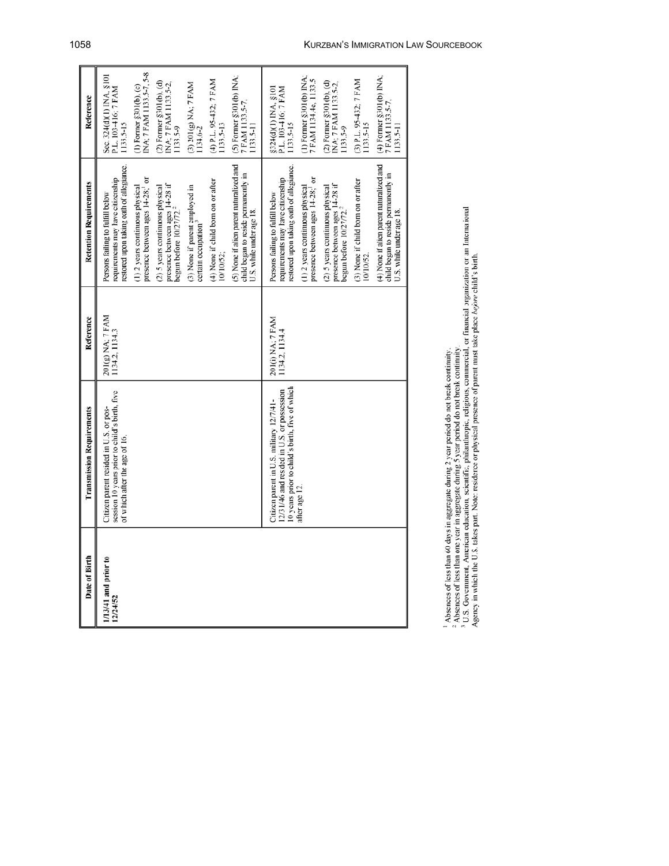| Date of Birth                    | <b>Transmission Requirements</b>                                                                                                         | Reference                          | <b>Retention Requirements</b>                                                                                     | Reference                                                              |
|----------------------------------|------------------------------------------------------------------------------------------------------------------------------------------|------------------------------------|-------------------------------------------------------------------------------------------------------------------|------------------------------------------------------------------------|
| 1/13/41 and prior to<br>12/24/52 | session 10 years prior to child's birth. five<br>Citizen parent resided in U.S. or pos-<br>of which after the age of 16.                 | 201(g) NA; 7 FAM<br>1134.2, 1134.3 | restored upon taking oath of allegiance.<br>requirements may have citizenship<br>Persons failing to fulfill below | Sec. 324(d)(1) INA, §101<br>P.L. 103-416; 7 FAM<br>1133.5-15           |
|                                  |                                                                                                                                          |                                    | presence between ages 14-28; <sup>1</sup> or<br>(1) 2 years continuous physical                                   | INA; 7 FAM 1133.5-7, 5-8<br>(1) Former §301(b), (c)                    |
|                                  |                                                                                                                                          |                                    | presence between ages 14-28 if<br>(2) 5 years continuous physical<br>begun before $10/27/72.^2$                   | $(2)$ Former $\S 301(b)$ , $(d)$<br>INA; 7 FAM 1133.5-2,<br>1133.5-9   |
|                                  |                                                                                                                                          |                                    | (3) None if parent employed in<br>certain occupation <sup>3</sup>                                                 | (3) 201(g) NA; 7 FAM<br>134.6-2                                        |
|                                  |                                                                                                                                          |                                    | (4) None if child born on or after<br>10/10/52;                                                                   | (4) P.L. 95-432; 7 FAM<br>1133.5-13                                    |
|                                  |                                                                                                                                          |                                    | (5) None if alien parent naturalized and<br>child began to reside permanently in<br>U.S. while under age 18.      | $(5)$ Former §301(b) INA;<br>7 FAM 1133.5-7.<br>$133.5 - 11$           |
|                                  | 10 years prior to child's birth, five of which<br>12/31/46 and resided in U.S. or possession<br>Citizen parent in U.S. military 12/7/41- | 201(i) NA; 7 FAM<br>1134.2, 1134.4 | restored upon taking oath of allegiance.<br>requirements may have citizenship<br>Persons failing to fulfill below | §324(d)(1) INA, §101<br>P.L. 103-416; 7 FAM<br>1133.5-15               |
|                                  | after age 12.                                                                                                                            |                                    | presence between ages 14-28; <sup>1</sup> or<br>(1) 2 years continuous physical                                   | (1) Former §301(b) INA;<br>7 FAM 1134.4e, 1133.5                       |
|                                  |                                                                                                                                          |                                    | presence between ages $14-28$ if<br>begun before $10/27/72.^2$<br>(2) 5 years continuous physical                 | INA; 7 FAM 1133.5-2,<br>$(2)$ Former $\S$ 301(b), $(d)$<br>$133.5 - 9$ |
|                                  |                                                                                                                                          |                                    | (3) None if child born on or after<br>10/10/52                                                                    | (3) P.L. 95-432; 7 FAM<br>133.5-15                                     |
|                                  |                                                                                                                                          |                                    | (4) None if alien parent naturalized and<br>child began to reside permanently in<br>U.S. while under age 18.      | $(4)$ Former §301(b) INA;<br>7 FAM 1133.5-7,<br>133.5-11               |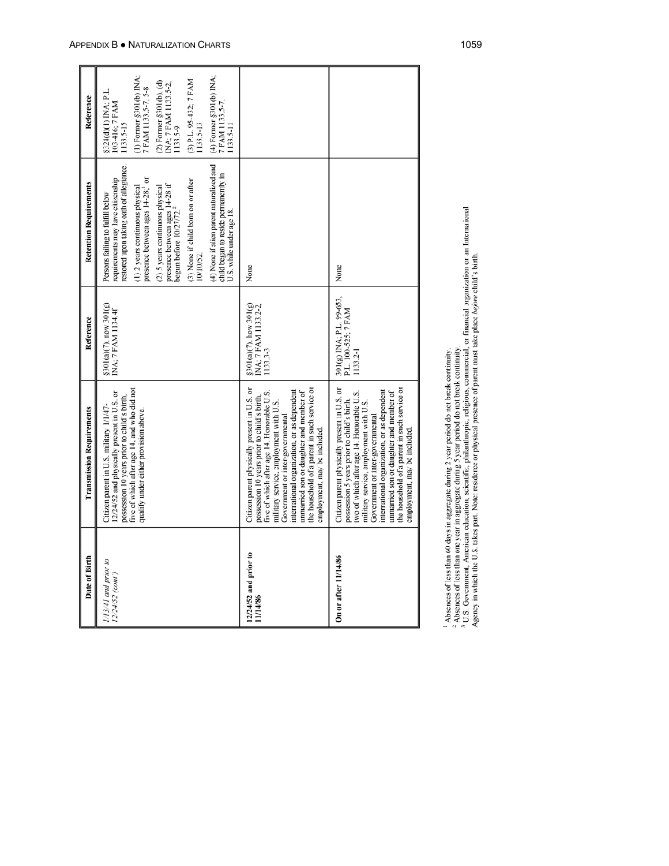| Date of Birth                           | <b>Transmission Requirements</b>                                                                                                                                                                                                                                                                                                                                                                  | Reference                                                   | <b>Retention Requirements</b>                                                                                     | Reference                                                   |
|-----------------------------------------|---------------------------------------------------------------------------------------------------------------------------------------------------------------------------------------------------------------------------------------------------------------------------------------------------------------------------------------------------------------------------------------------------|-------------------------------------------------------------|-------------------------------------------------------------------------------------------------------------------|-------------------------------------------------------------|
| 1/13/41 and prior to<br>12/24/52 (cont) | five of which after age 14, and who did not<br>12/24/52 and physically present in U.S. or<br>possession 10 years prior to child's birth,<br>Citizen parent in U.S. military 1/1/47-                                                                                                                                                                                                               | $$301(a)(7)$ , now $301(g)$<br>INA: 7 FAM 1134.4f           | restored upon taking oath of allegiance.<br>requirements may have citizenship<br>Persons failing to fulfill below | §324(d)(1) INA; P.L.<br>103-416; 7 FAM<br>1133.5-15         |
|                                         | qualify under either provision above.                                                                                                                                                                                                                                                                                                                                                             |                                                             | presence between ages 14-28; <sup>1</sup> or<br>(1) 2 years continuous physical                                   | (1) Former §301(b) INA;<br>7 FAM 1133.5-7, 5-8              |
|                                         |                                                                                                                                                                                                                                                                                                                                                                                                   |                                                             | presence between ages $14-28$ if<br>begun before $10/27/72$ . <sup>2</sup><br>(2) 5 years continuous physical     | (2) Former §301(b), (d)<br>INA; 7 FAM 1133.5-2,<br>1133.5-9 |
|                                         |                                                                                                                                                                                                                                                                                                                                                                                                   |                                                             | (3) None if child born on or after<br>10/10/52.                                                                   | (3) P.L. 95-432; 7 FAM<br>1133.5-13                         |
|                                         |                                                                                                                                                                                                                                                                                                                                                                                                   |                                                             | (4) None if alien parent naturalized and<br>child began to reside permanently in<br>U.S. while under age 18.      | (4) Former §301(b) INA;<br>7 FAM 1133.5-7,<br>1133.5-11     |
| 12/24/52 and prior to<br>11/14/86       | Citizen parent physically present in U.S. or<br>the household of a parent in such service or<br>international organization, or as dependent<br>unmarried son or daughter and member of<br>five of which after age 14. Honorable U.S.<br>possession 10 years prior to child's birth,<br>military service, employment with U.S.<br>Government or inter-governmental<br>employment, may be included. | \$301(a)(7), how 301(g)<br>INA; 7 FAM 1133.2-2,<br>1133.3-3 | None                                                                                                              |                                                             |
| On or after 11/14/86                    | the household of a parent in such service or<br>Citizen parent physically present in U.S. or<br>international organization, or as dependent<br>unmarried son or daughter and member of<br>two of which after age 14. Honorable U.S.<br>possession 5 years prior to child's birth,<br>military service, employment with U.S.<br>Government or inter-governmental<br>employment, may be included.   | 301(g) INA; P.L. 99-653,<br>P.L. 100-525; 7 FAM<br>1133.2-1 | None                                                                                                              |                                                             |
|                                         |                                                                                                                                                                                                                                                                                                                                                                                                   |                                                             |                                                                                                                   |                                                             |

Е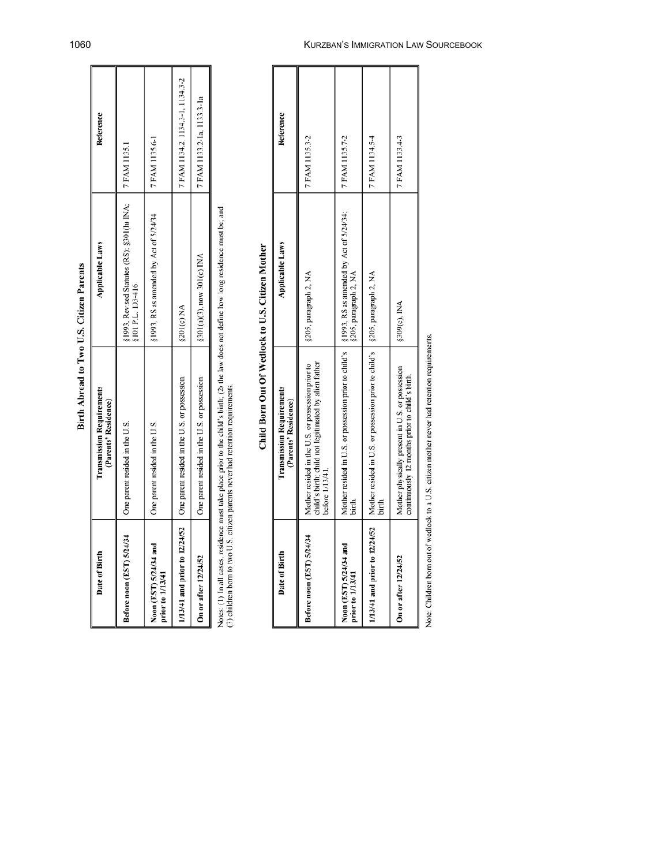| Date of Birth                              | <b>Transmission Requirements</b><br>(Parents' Residence)                        | <b>Applicable Laws</b>                                                                                                                                 | Reference                        |
|--------------------------------------------|---------------------------------------------------------------------------------|--------------------------------------------------------------------------------------------------------------------------------------------------------|----------------------------------|
| Before noon (EST) 5/24/34                  | One parent resided in the U.S.                                                  | §1993, Revised Statutes (RS); §301(h) INA; $\begin{bmatrix} 7 \text{ FAM} 1135.1 \\ 8 \text{ FAM} 1135.1 \\ 1135.1 \end{bmatrix}$<br>§101 P.L. 103-416 |                                  |
| Noon (EST) 5/24/34 and<br>prior to 1/13/41 | One parent resided in the U.S.                                                  | $$1993, RS$ as amended by Act of $$/24/34$                                                                                                             | 7 FAM 1135.6-1                   |
|                                            | 1/13/41 and prior to $12/24/52$   One parent resided in the U.S. or possession. | <b>8201(c) NA</b>                                                                                                                                      | 7 FAM 1134.2, 1134.3-1, 1134.3-2 |
| On or after 12/24/52                       | One parent resided in the U.S. or possession.                                   | §301(a)(3), now 301(c) INA                                                                                                                             | 7 FAM 1133.2-1a, 1133.3-1a       |
|                                            |                                                                                 |                                                                                                                                                        |                                  |

Birth Abroad to Two U.S. Citizen Parents

Notes: (1) In all cases, residence must take place prior to the child's birth; (2) the law does not define how long residence must be; and (3) children born to two U.S. citizen parents never had retention requirements.

Child Born Out Of Wedlock to U.S. Citizen Mother

| Date of Birth                              | <b>Transmission Requirements</b><br>(Parents' Residence)                                                                        | <b>Applicable Laws</b> | Reference      |
|--------------------------------------------|---------------------------------------------------------------------------------------------------------------------------------|------------------------|----------------|
| Before noon (EST) 5/24/34                  | child's birth; child not legitimated by alien father<br>Mother resided in the U.S. or possession prior to<br>before 1/13/41.    | §205, paragraph 2, NA  | 7 FAM 1135.3-2 |
| Noon (EST) 5/24/34 and<br>prior to 1/13/41 | Mother resided in U.S. or possession prior to child's §1993, RS as annended by Act of 5/24/34;<br>birth.                        | §205, paragraph 2, NA  | 7 FAM 1135.7-2 |
|                                            | 1/13/41 and prior to 12/24/52 Nother resided in U.S. or possession prior to child's $\frac{205}{5}$ , paragraph 2, NA<br>birth. |                        | 7 FAM 1134.5-4 |
| On or after 12/24/52                       | Mother physically present in U.S. or possession<br>continuously 12 months prior to child's birth.                               | \$309(c), INA          | 7 FAM 1133.4-3 |
|                                            |                                                                                                                                 |                        |                |

Note: Children born out of wedlock to a U.S. citizen mother never had retention requirements.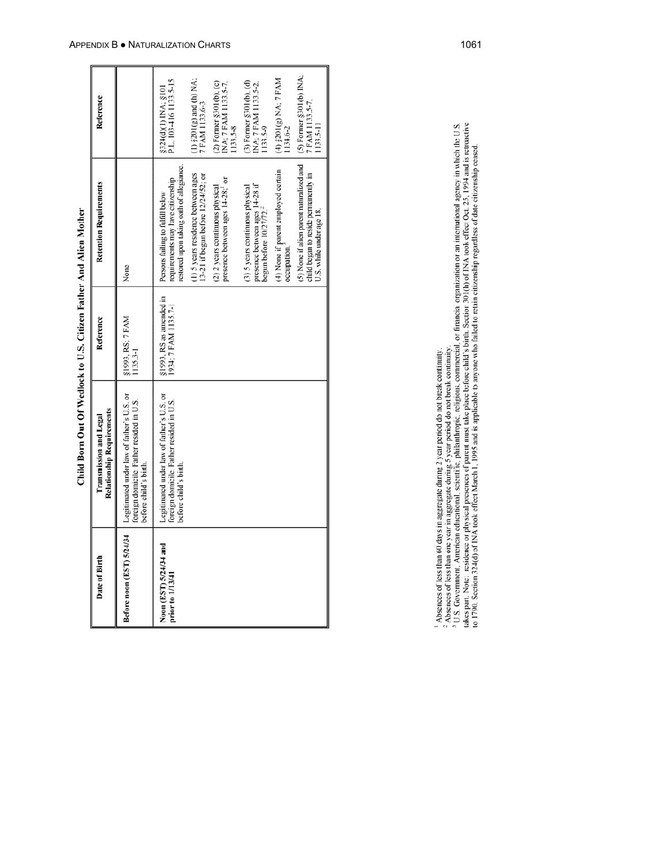| j        |
|----------|
|          |
|          |
| $\vdots$ |
| i<br>くり  |
|          |
| I        |
| i<br>i   |
|          |
|          |
| j        |
| i        |

| Date of Birth          | <b>Relationship Requirements</b><br>Transmission and Legal                                                                                 | Reference                                       | <b>Retention Requirements</b>                                                                                     | Reference                                                                |
|------------------------|--------------------------------------------------------------------------------------------------------------------------------------------|-------------------------------------------------|-------------------------------------------------------------------------------------------------------------------|--------------------------------------------------------------------------|
|                        | Before noon (EST) 5/24/34   Legitimated under law of father's U.S. or<br>foreign domicile. Father resided in U.S.<br>before child's birth. | §1993, RS: 7 FAM<br>1135.3-1                    | None                                                                                                              |                                                                          |
| Noon (EST) 5/24/34 and | Legitimated under law of father's U.S. or<br>foreign domicile. Father resided in U.S.<br>before child's birth.                             | §1993, RS as amended in<br>1934; 7 FAM 1135.7-1 | restored upon taking oath of allegiance.<br>requirements may have citizenship<br>Persons failing to fulfill below | P.L. 103-416 1133.5-15<br>\$324(d)(1) INA; \$101                         |
|                        |                                                                                                                                            |                                                 | (1) 5 years residence between ages<br>13-21 if begun before 12/24/52; or                                          | (1) $$201(g)$ and (h) NA;<br>7 FAM 1133.6-3                              |
|                        |                                                                                                                                            |                                                 | presence between ages 14-28; <sup>1</sup> or<br>(2) 2 years continuous physical                                   | (2) Forner §301(b), (c)<br>INA; 7 FAM 1133.5-7,<br>1133.5-8              |
|                        |                                                                                                                                            |                                                 | presence between ages 14-28 if<br>(3) 5 years continuous physical<br>begun before $10/27/72$ . <sup>2</sup>       | $(3)$ Former $\S 301(b)$ , $(d)$<br>INA: 7 FAM 1133.5-2,<br>$1133.5 - 9$ |
|                        |                                                                                                                                            |                                                 | (4) None if parent employed certain<br>occupation.                                                                | $(4)$ $$201(g) NA; 7 FAM$<br>134.6-2                                     |
|                        |                                                                                                                                            |                                                 | (5) None if alien parent naturalized and<br>child began to reside permanently in<br>U.S. while under age 18.      | (5) Former §301(b) INA;<br>7 FAM 1133.5-7,<br>1133.5-11                  |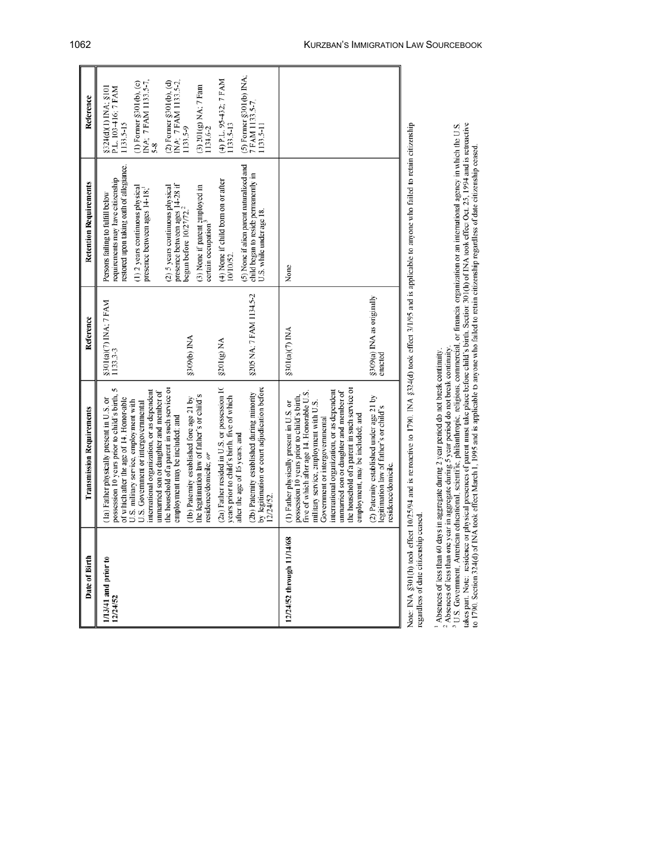| Date of Birth                        | <b>Transmission Requirements</b>                                                                                                                                                                                                                                                                                                                                                                 | Reference                            | <b>Retention Requirements</b>                                                                                     | Reference                                                       |
|--------------------------------------|--------------------------------------------------------------------------------------------------------------------------------------------------------------------------------------------------------------------------------------------------------------------------------------------------------------------------------------------------------------------------------------------------|--------------------------------------|-------------------------------------------------------------------------------------------------------------------|-----------------------------------------------------------------|
| 1/13/41 and prior to<br>12/24/52     | possession 10 years prior to child's birth,<br>of which after the age of 14. Honor-able<br>(1a) Father physically present in U.S. or                                                                                                                                                                                                                                                             | §301(a)(7) INA; 7 FAM<br>1133.3-3    | restored upon taking oath of allegiance.<br>requirements may have citizenship<br>Persons failing to fulfill below | §324(d)(1) INA; §101<br>P.L. 103-416; 7 FAM<br>1133.5-15        |
|                                      | international organization, or as dependent<br>unnarried son or daughter and member of<br>U.S. military service, employment with<br>U.S. Government or intergovernmental                                                                                                                                                                                                                         |                                      | (1) 2 years continuous physical<br>presence between ages 14-18;                                                   | (1) Former §301(b), (c)<br>INA; 7 FAM 1133.5-7,<br>$5-8$        |
|                                      | the household of a parent in such service or<br>employment may be included; and                                                                                                                                                                                                                                                                                                                  |                                      | presence between ages $14-28$ if<br>begun before $10/27/72$ . <sup>2</sup><br>(2) 5 years continuous physical     | INA; 7 FAM 1133.5-2,<br>$(2)$ Former §301(b), $(d)$<br>1133.5-9 |
|                                      | the legitimation law of father's or child's<br>(1b) Paternity established fore age 21 by<br>residence/domicile; or                                                                                                                                                                                                                                                                               | \$309(b) INA                         | (3) None if parent employed in<br>certain occupation. <sup>3</sup>                                                | (3) 201(g) NA; 7 Fam<br>1134.6-2                                |
|                                      | (2a) Father resided in U.S. or possession 10<br>years prior to child's birth, five of which                                                                                                                                                                                                                                                                                                      | §201(g) NA                           | (4) None if child born on or after<br>10/10/52                                                                    | (4) P.L. 95-432; 7 FAM<br>1133.5-13                             |
|                                      | by legitimation or court adjudication before<br>(2b) Paternity established during minority<br>after the age of 16 years; and<br>12/24/52.                                                                                                                                                                                                                                                        | 8205 NA; 7 FAM 1134.5-2              | (5) None if alien parent naturalized and<br>child began to reside permanently in<br>U.S. while under age 18.      | $(5)$ Former $\S$ 301(b) INA;<br>7 FAM 1133.5-7.<br>1133.5-11   |
| 12/24/52 through 11/14/68            | the household of a parent in such service or<br>international organization, or as dependent<br>unmarried son or daughter and member of<br>five of which after age 14. Honorable U.S.<br>possession 10 years prior to child's birth,<br>military service, employment with U.S.<br>(1) Father physically present in U.S. or<br>employment, may be included; and<br>Government or intergovernmental | \$301(a)(7) INA                      | None                                                                                                              |                                                                 |
|                                      | (2) Paternity established under age 21 by<br>legitimation law of father's or child's<br>esidence/domicile.                                                                                                                                                                                                                                                                                       | §309(a) INA as originally<br>enacted |                                                                                                                   |                                                                 |
| egardless of date citizenship ceased | Note: INA §301(th) took effect 10/25/94 and is retroactive to 1790. INA §324(d) took effect 3/1/95 and is applicable to anyone who failed to retain citizenship                                                                                                                                                                                                                                  |                                      |                                                                                                                   |                                                                 |

<sup>1</sup> Absences of less than 60 days in aggregate during 2 year period do not break continuity.<br><sup>2</sup> Absences of less than one year in aggregate during 5 year period do not break continuity.<br><sup>3</sup> U.S. Government, American educa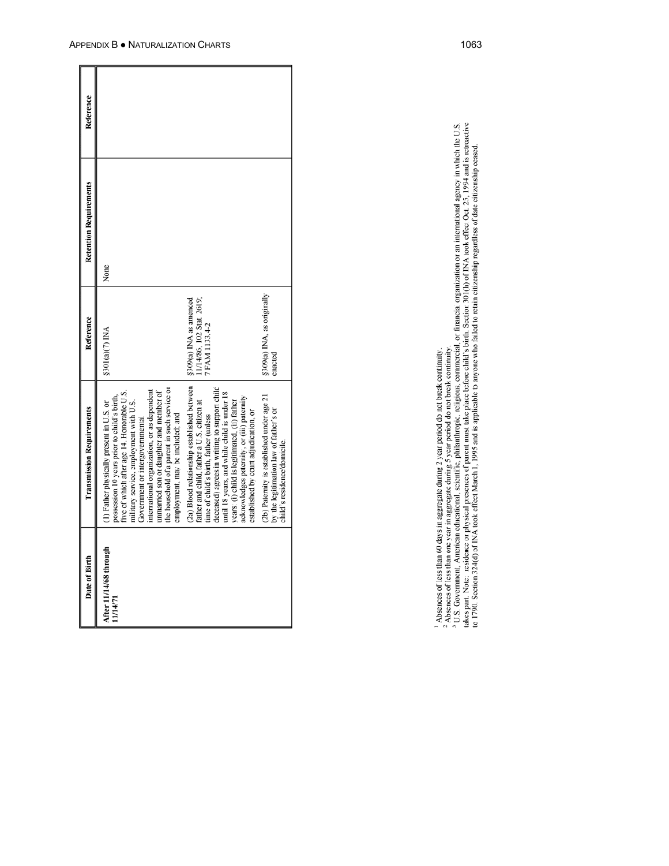| Reference                        |                                                                                                                                                                                                                                                                                                                                                                                                  |                                                                                                                                                                                                                                                                                                                                                                          |                                                                                                                     |
|----------------------------------|--------------------------------------------------------------------------------------------------------------------------------------------------------------------------------------------------------------------------------------------------------------------------------------------------------------------------------------------------------------------------------------------------|--------------------------------------------------------------------------------------------------------------------------------------------------------------------------------------------------------------------------------------------------------------------------------------------------------------------------------------------------------------------------|---------------------------------------------------------------------------------------------------------------------|
| <b>Retention Requirements</b>    | None                                                                                                                                                                                                                                                                                                                                                                                             |                                                                                                                                                                                                                                                                                                                                                                          |                                                                                                                     |
| Reference                        | $$301(a)(7)$ INA                                                                                                                                                                                                                                                                                                                                                                                 | 11/14/86, 102 Stat. 2619;<br>\$309(a) INA as amended<br>7 FAM 1133.4-2                                                                                                                                                                                                                                                                                                   | §309(a) INA, as originally<br>enacted                                                                               |
| <b>Transmission Requirements</b> | the household of a parent in such service or<br>international organization, or as dependent<br>unmarried son or daughter and member of<br>five of which after age 14. Honorable U.S.<br>possession 10 years prior to child's birth,<br>military service, employment with U.S.<br>(1) Father physically present in U.S. or<br>employment, may be included; and<br>Government or intergovernmental | (2a) Blood relationship established between<br>deceased) agrees in writing to support child<br>until 18 years, and while child is under 18<br>acknowledges paternity, or (iii) paternity<br>years: (i) child is legitimated, (ii) father<br>father and child, father a U.S. citizen at<br>established by court adjudication, or<br>time of child's birth, father (unless | (2b) Paternity is established under age 21<br>by the legitimation law of father's or<br>child's residence/domicile. |
| Date of Birth                    | After 11/14/68 through<br>11/14/71                                                                                                                                                                                                                                                                                                                                                               |                                                                                                                                                                                                                                                                                                                                                                          |                                                                                                                     |

Г T